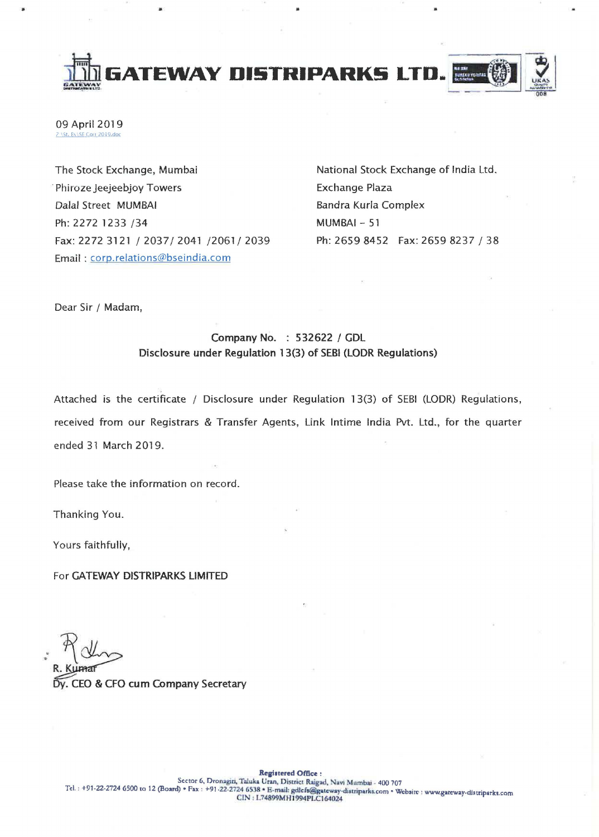**JtlhIiATE'WAY DISTRIPARKS LTD.** ~~ *..... v* 

 $\blacksquare$ 



09 April 2019 Z \St. Ex\SE Corr 2019.doc

The Stock Exchange, Mumbai . Phiroze Jeejeebjoy Towers Dalal Street MUMBAI Ph: 2272 1233 /34 Fax: 2272 3121/2037/2041/2061/2039 Email: corp.relations@bseindia.com

National Stock Exchange of India Ltd. Exchange Plaza Bandra Kurla Complex MUMBAI - 51 Ph: 2659 8452 Fax: 2659 8237 / 38

Dear Sir / Madam,

## Company No. : 532622 / GDL Disclosure under Regulation 13(3) of SEBI (lODR Regulations)

Attached is the certificate / Disclosure under Regulation 13(3) of SEBI (LODR) Regulations, received from our Registrars & Transfer Agents, Link Intime India Pvt. Ltd., for the quarter ended 31 March 2019.

Please take the information on record.

Thanking You.

Yours faithfully,

For GATEWAY DISTRIPARKS LIMITED

Dy. CEO & CFO cum Company Secretary